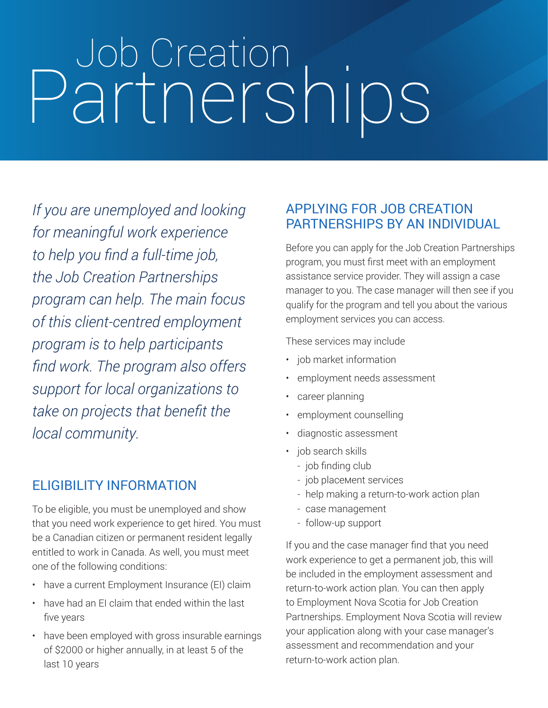# Job Creation Partnerships

*If you are unemployed and looking for meaningful work experience to help you find a full-time job, the Job Creation Partnerships program can help. The main focus of this client-centred employment program is to help participants find work. The program also offers support for local organizations to take on projects that benefit the local community.*

### ELIGIBILITY INFORMATION

To be eligible, you must be unemployed and show that you need work experience to get hired. You must be a Canadian citizen or permanent resident legally entitled to work in Canada. As well, you must meet one of the following conditions:

- have a current Employment Insurance (EI) claim
- have had an EI claim that ended within the last five years
- have been employed with gross insurable earnings of \$2000 or higher annually, in at least 5 of the last 10 years

### APPLYING FOR JOB CREATION PARTNERSHIPS BY AN INDIVIDUAL

Before you can apply for the Job Creation Partnerships program, you must first meet with an employment assistance service provider. They will assign a case manager to you. The case manager will then see if you qualify for the program and tell you about the various employment services you can access.

These services may include

- job market information
- employment needs assessment
- career planning
- employment counselling
- diagnostic assessment
- job search skills
	- job finding club
	- job placeMent services
	- help making a return-to-work action plan
	- case management
	- follow-up support

If you and the case manager find that you need work experience to get a permanent job, this will be included in the employment assessment and return-to-work action plan. You can then apply to Employment Nova Scotia for Job Creation Partnerships. Employment Nova Scotia will review your application along with your case manager's assessment and recommendation and your return-to-work action plan.